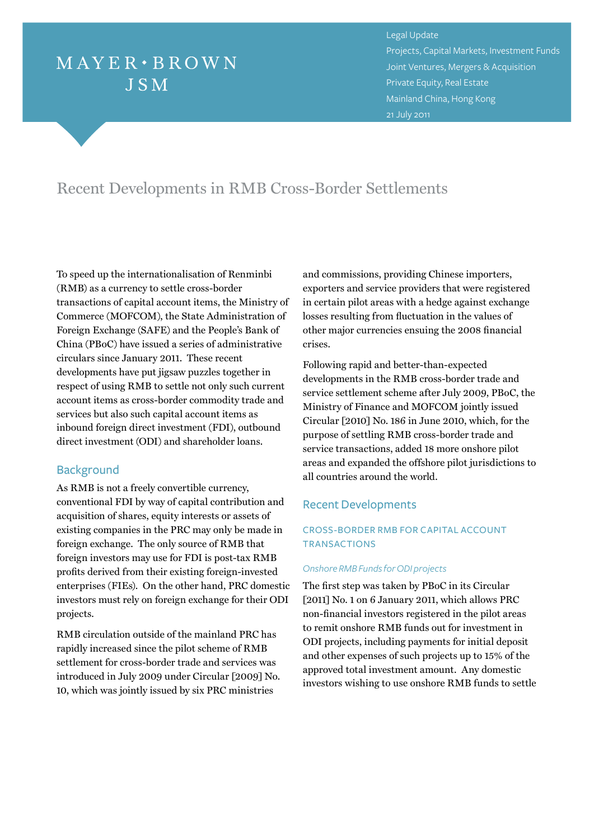# $MAYER \cdot BROWN$ **JSM**

Legal Update Projects, Capital Markets, Investment Funds Joint Ventures, Mergers & Acquisition Private Equity, Real Estate Mainland China, Hong Kong 21 July 2011

# Recent Developments in RMB Cross-Border Settlements

To speed up the internationalisation of Renminbi (RMB) as a currency to settle cross-border transactions of capital account items, the Ministry of Commerce (MOFCOM), the State Administration of Foreign Exchange (SAFE) and the People's Bank of China (PBoC) have issued a series of administrative circulars since January 2011. These recent developments have put jigsaw puzzles together in respect of using RMB to settle not only such current account items as cross-border commodity trade and services but also such capital account items as inbound foreign direct investment (FDI), outbound direct investment (ODI) and shareholder loans.

# **Background**

As RMB is not a freely convertible currency, conventional FDI by way of capital contribution and acquisition of shares, equity interests or assets of existing companies in the PRC may only be made in foreign exchange. The only source of RMB that foreign investors may use for FDI is post-tax RMB profits derived from their existing foreign-invested enterprises (FIEs). On the other hand, PRC domestic investors must rely on foreign exchange for their ODI projects.

RMB circulation outside of the mainland PRC has rapidly increased since the pilot scheme of RMB settlement for cross-border trade and services was introduced in July 2009 under Circular [2009] No. 10, which was jointly issued by six PRC ministries

and commissions, providing Chinese importers, exporters and service providers that were registered in certain pilot areas with a hedge against exchange losses resulting from fluctuation in the values of other major currencies ensuing the 2008 financial crises.

Following rapid and better-than-expected developments in the RMB cross-border trade and service settlement scheme after July 2009, PBoC, the Ministry of Finance and MOFCOM jointly issued Circular [2010] No. 186 in June 2010, which, for the purpose of settling RMB cross-border trade and service transactions, added 18 more onshore pilot areas and expanded the offshore pilot jurisdictions to all countries around the world.

### Recent Developments

# Cross-border RMB for capital account **TRANSACTIONS**

#### *Onshore RMB Funds for ODI projects*

The first step was taken by PBoC in its Circular [2011] No. 1 on 6 January 2011, which allows PRC non-financial investors registered in the pilot areas to remit onshore RMB funds out for investment in ODI projects, including payments for initial deposit and other expenses of such projects up to 15% of the approved total investment amount. Any domestic investors wishing to use onshore RMB funds to settle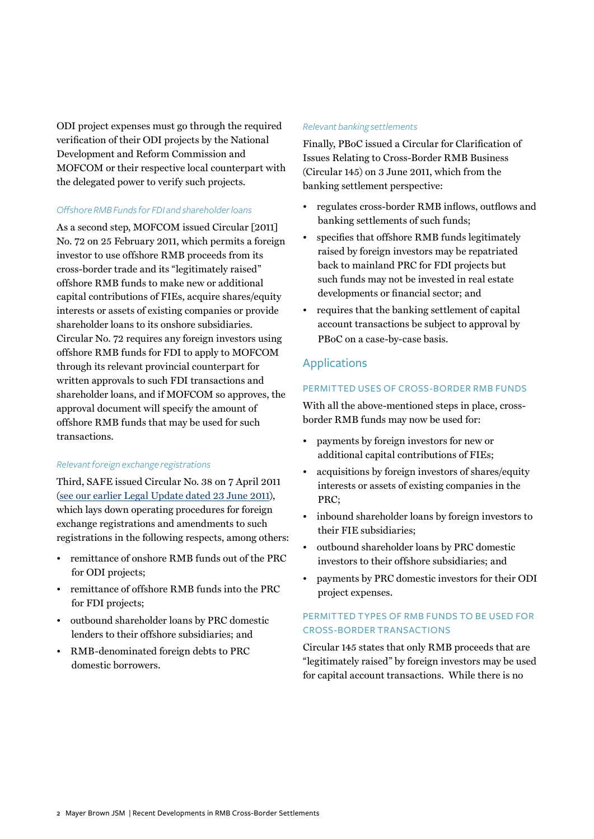ODI project expenses must go through the required verification of their ODI projects by the National Development and Reform Commission and MOFCOM or their respective local counterpart with the delegated power to verify such projects.

#### *Offshore RMB Funds for FDI and shareholder loans*

As a second step, MOFCOM issued Circular [2011] No. 72 on 25 February 2011, which permits a foreign investor to use offshore RMB proceeds from its cross-border trade and its "legitimately raised" offshore RMB funds to make new or additional capital contributions of FIEs, acquire shares/equity interests or assets of existing companies or provide shareholder loans to its onshore subsidiaries. Circular No. 72 requires any foreign investors using offshore RMB funds for FDI to apply to MOFCOM through its relevant provincial counterpart for written approvals to such FDI transactions and shareholder loans, and if MOFCOM so approves, the approval document will specify the amount of offshore RMB funds that may be used for such transactions.

#### *Relevant foreign exchange registrations*

Third, SAFE issued Circular No. 38 on 7 April 2011 [\(see our earlier Legal Update dated 23 June 2011\)](http://www.mayerbrown.com/mayerbrownjsm/index.asp?nid=10236), which lays down operating procedures for foreign exchange registrations and amendments to such registrations in the following respects, among others:

- remittance of onshore RMB funds out of the PRC for ODI projects;
- remittance of offshore RMB funds into the PRC for FDI projects;
- outbound shareholder loans by PRC domestic lenders to their offshore subsidiaries; and
- RMB-denominated foreign debts to PRC domestic borrowers.

#### *Relevant banking settlements*

Finally, PBoC issued a Circular for Clarification of Issues Relating to Cross-Border RMB Business (Circular 145) on 3 June 2011, which from the banking settlement perspective:

- regulates cross-border RMB inflows, outflows and banking settlements of such funds;
- specifies that offshore RMB funds legitimately raised by foreign investors may be repatriated back to mainland PRC for FDI projects but such funds may not be invested in real estate developments or financial sector; and
- requires that the banking settlement of capital account transactions be subject to approval by PBoC on a case-by-case basis.

### Applications

#### Permitted uses of cross-border RMB funds

With all the above-mentioned steps in place, crossborder RMB funds may now be used for:

- payments by foreign investors for new or additional capital contributions of FIEs;
- acquisitions by foreign investors of shares/equity interests or assets of existing companies in the PRC;
- inbound shareholder loans by foreign investors to their FIE subsidiaries;
- outbound shareholder loans by PRC domestic investors to their offshore subsidiaries; and
- payments by PRC domestic investors for their ODI project expenses.

# Permitted t ypes of RMB funds to be used for CROSS-BORDER TRANSACTIONS

Circular 145 states that only RMB proceeds that are "legitimately raised" by foreign investors may be used for capital account transactions. While there is no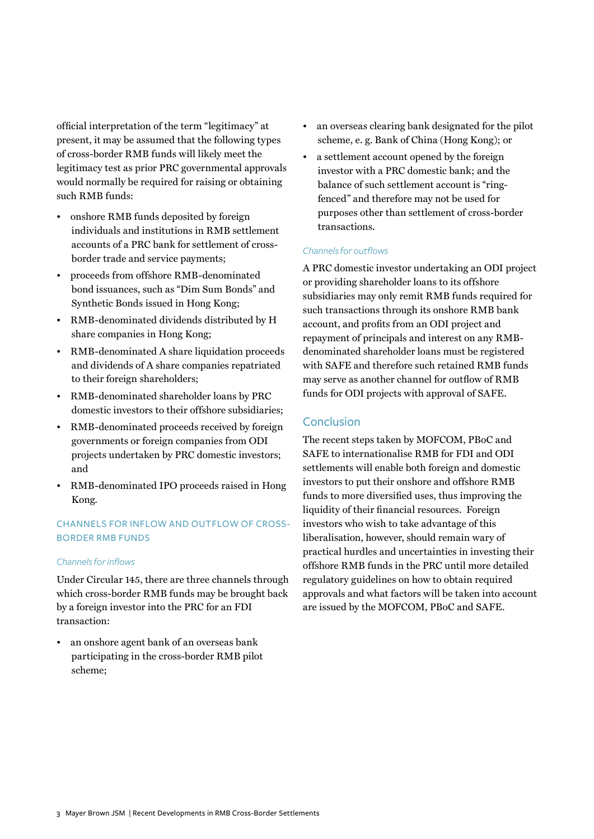official interpretation of the term "legitimacy" at present, it may be assumed that the following types of cross-border RMB funds will likely meet the legitimacy test as prior PRC governmental approvals would normally be required for raising or obtaining such RMB funds:

- onshore RMB funds deposited by foreign individuals and institutions in RMB settlement accounts of a PRC bank for settlement of crossborder trade and service payments;
- proceeds from offshore RMB-denominated bond issuances, such as "Dim Sum Bonds" and Synthetic Bonds issued in Hong Kong;
- RMB-denominated dividends distributed by H share companies in Hong Kong;
- RMB-denominated A share liquidation proceeds and dividends of A share companies repatriated to their foreign shareholders;
- RMB-denominated shareholder loans by PRC domestic investors to their offshore subsidiaries;
- RMB-denominated proceeds received by foreign governments or foreign companies from ODI projects undertaken by PRC domestic investors; and
- RMB-denominated IPO proceeds raised in Hong Kong.

# Channels for inflow and outflow of crossborder RMB funds

#### *Channels for inflows*

Under Circular 145, there are three channels through which cross-border RMB funds may be brought back by a foreign investor into the PRC for an FDI transaction:

• an onshore agent bank of an overseas bank participating in the cross-border RMB pilot scheme;

- an overseas clearing bank designated for the pilot scheme, e. g. Bank of China (Hong Kong); or
- a settlement account opened by the foreign investor with a PRC domestic bank; and the balance of such settlement account is "ringfenced" and therefore may not be used for purposes other than settlement of cross-border transactions.

#### *Channels for outflows*

A PRC domestic investor undertaking an ODI project or providing shareholder loans to its offshore subsidiaries may only remit RMB funds required for such transactions through its onshore RMB bank account, and profits from an ODI project and repayment of principals and interest on any RMBdenominated shareholder loans must be registered with SAFE and therefore such retained RMB funds may serve as another channel for outflow of RMB funds for ODI projects with approval of SAFE.

# **Conclusion**

The recent steps taken by MOFCOM, PBoC and SAFE to internationalise RMB for FDI and ODI settlements will enable both foreign and domestic investors to put their onshore and offshore RMB funds to more diversified uses, thus improving the liquidity of their financial resources. Foreign investors who wish to take advantage of this liberalisation, however, should remain wary of practical hurdles and uncertainties in investing their offshore RMB funds in the PRC until more detailed regulatory guidelines on how to obtain required approvals and what factors will be taken into account are issued by the MOFCOM, PBoC and SAFE.